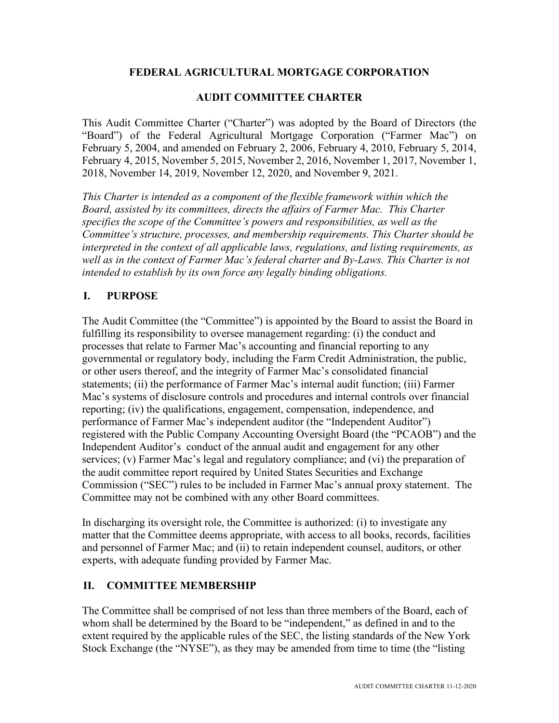# **FEDERAL AGRICULTURAL MORTGAGE CORPORATION**

# **AUDIT COMMITTEE CHARTER**

This Audit Committee Charter ("Charter") was adopted by the Board of Directors (the "Board") of the Federal Agricultural Mortgage Corporation ("Farmer Mac") on February 5, 2004, and amended on February 2, 2006, February 4, 2010, February 5, 2014, February 4, 2015, November 5, 2015, November 2, 2016, November 1, 2017, November 1, 2018, November 14, 2019, November 12, 2020, and November 9, 2021.

*This Charter is intended as a component of the flexible framework within which the Board, assisted by its committees, directs the affairs of Farmer Mac. This Charter specifies the scope of the Committee's powers and responsibilities, as well as the Committee's structure, processes, and membership requirements. This Charter should be interpreted in the context of all applicable laws, regulations, and listing requirements, as well as in the context of Farmer Mac's federal charter and By-Laws. This Charter is not intended to establish by its own force any legally binding obligations.*

# **I. PURPOSE**

The Audit Committee (the "Committee") is appointed by the Board to assist the Board in fulfilling its responsibility to oversee management regarding: (i) the conduct and processes that relate to Farmer Mac's accounting and financial reporting to any governmental or regulatory body, including the Farm Credit Administration, the public, or other users thereof, and the integrity of Farmer Mac's consolidated financial statements; (ii) the performance of Farmer Mac's internal audit function; (iii) Farmer Mac's systems of disclosure controls and procedures and internal controls over financial reporting; (iv) the qualifications, engagement, compensation, independence, and performance of Farmer Mac's independent auditor (the "Independent Auditor") registered with the Public Company Accounting Oversight Board (the "PCAOB") and the Independent Auditor's conduct of the annual audit and engagement for any other services; (v) Farmer Mac's legal and regulatory compliance; and (vi) the preparation of the audit committee report required by United States Securities and Exchange Commission ("SEC") rules to be included in Farmer Mac's annual proxy statement. The Committee may not be combined with any other Board committees.

In discharging its oversight role, the Committee is authorized: (i) to investigate any matter that the Committee deems appropriate, with access to all books, records, facilities and personnel of Farmer Mac; and (ii) to retain independent counsel, auditors, or other experts, with adequate funding provided by Farmer Mac.

# **II. COMMITTEE MEMBERSHIP**

The Committee shall be comprised of not less than three members of the Board, each of whom shall be determined by the Board to be "independent," as defined in and to the extent required by the applicable rules of the SEC, the listing standards of the New York Stock Exchange (the "NYSE"), as they may be amended from time to time (the "listing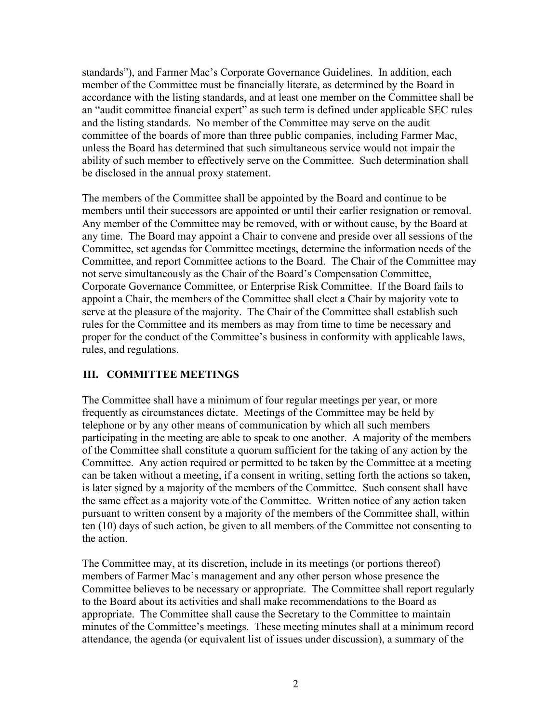standards"), and Farmer Mac's Corporate Governance Guidelines. In addition, each member of the Committee must be financially literate, as determined by the Board in accordance with the listing standards, and at least one member on the Committee shall be an "audit committee financial expert" as such term is defined under applicable SEC rules and the listing standards. No member of the Committee may serve on the audit committee of the boards of more than three public companies, including Farmer Mac, unless the Board has determined that such simultaneous service would not impair the ability of such member to effectively serve on the Committee. Such determination shall be disclosed in the annual proxy statement.

The members of the Committee shall be appointed by the Board and continue to be members until their successors are appointed or until their earlier resignation or removal. Any member of the Committee may be removed, with or without cause, by the Board at any time. The Board may appoint a Chair to convene and preside over all sessions of the Committee, set agendas for Committee meetings, determine the information needs of the Committee, and report Committee actions to the Board. The Chair of the Committee may not serve simultaneously as the Chair of the Board's Compensation Committee, Corporate Governance Committee, or Enterprise Risk Committee. If the Board fails to appoint a Chair, the members of the Committee shall elect a Chair by majority vote to serve at the pleasure of the majority. The Chair of the Committee shall establish such rules for the Committee and its members as may from time to time be necessary and proper for the conduct of the Committee's business in conformity with applicable laws, rules, and regulations.

# **III. COMMITTEE MEETINGS**

The Committee shall have a minimum of four regular meetings per year, or more frequently as circumstances dictate. Meetings of the Committee may be held by telephone or by any other means of communication by which all such members participating in the meeting are able to speak to one another. A majority of the members of the Committee shall constitute a quorum sufficient for the taking of any action by the Committee. Any action required or permitted to be taken by the Committee at a meeting can be taken without a meeting, if a consent in writing, setting forth the actions so taken, is later signed by a majority of the members of the Committee. Such consent shall have the same effect as a majority vote of the Committee. Written notice of any action taken pursuant to written consent by a majority of the members of the Committee shall, within ten (10) days of such action, be given to all members of the Committee not consenting to the action.

The Committee may, at its discretion, include in its meetings (or portions thereof) members of Farmer Mac's management and any other person whose presence the Committee believes to be necessary or appropriate. The Committee shall report regularly to the Board about its activities and shall make recommendations to the Board as appropriate. The Committee shall cause the Secretary to the Committee to maintain minutes of the Committee's meetings. These meeting minutes shall at a minimum record attendance, the agenda (or equivalent list of issues under discussion), a summary of the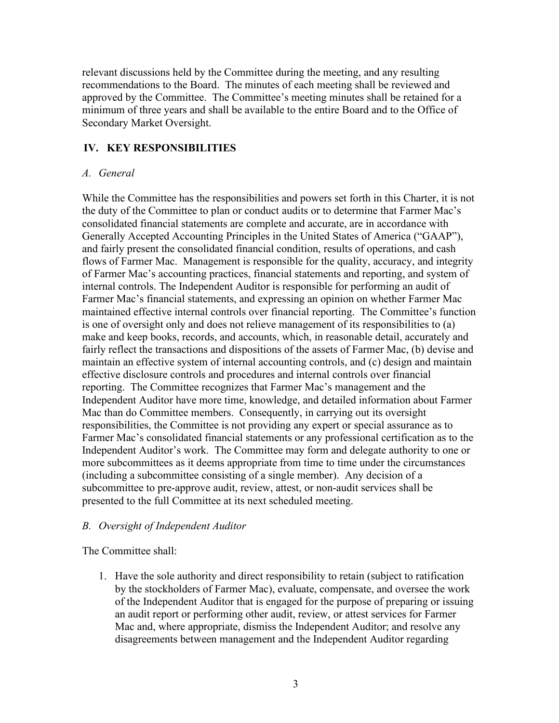relevant discussions held by the Committee during the meeting, and any resulting recommendations to the Board. The minutes of each meeting shall be reviewed and approved by the Committee. The Committee's meeting minutes shall be retained for a minimum of three years and shall be available to the entire Board and to the Office of Secondary Market Oversight.

# **IV. KEY RESPONSIBILITIES**

### *A. General*

While the Committee has the responsibilities and powers set forth in this Charter, it is not the duty of the Committee to plan or conduct audits or to determine that Farmer Mac's consolidated financial statements are complete and accurate, are in accordance with Generally Accepted Accounting Principles in the United States of America ("GAAP"), and fairly present the consolidated financial condition, results of operations, and cash flows of Farmer Mac. Management is responsible for the quality, accuracy, and integrity of Farmer Mac's accounting practices, financial statements and reporting, and system of internal controls. The Independent Auditor is responsible for performing an audit of Farmer Mac's financial statements, and expressing an opinion on whether Farmer Mac maintained effective internal controls over financial reporting. The Committee's function is one of oversight only and does not relieve management of its responsibilities to (a) make and keep books, records, and accounts, which, in reasonable detail, accurately and fairly reflect the transactions and dispositions of the assets of Farmer Mac, (b) devise and maintain an effective system of internal accounting controls, and (c) design and maintain effective disclosure controls and procedures and internal controls over financial reporting. The Committee recognizes that Farmer Mac's management and the Independent Auditor have more time, knowledge, and detailed information about Farmer Mac than do Committee members. Consequently, in carrying out its oversight responsibilities, the Committee is not providing any expert or special assurance as to Farmer Mac's consolidated financial statements or any professional certification as to the Independent Auditor's work. The Committee may form and delegate authority to one or more subcommittees as it deems appropriate from time to time under the circumstances (including a subcommittee consisting of a single member). Any decision of a subcommittee to pre-approve audit, review, attest, or non-audit services shall be presented to the full Committee at its next scheduled meeting.

#### *B. Oversight of Independent Auditor*

The Committee shall:

1. Have the sole authority and direct responsibility to retain (subject to ratification by the stockholders of Farmer Mac), evaluate, compensate, and oversee the work of the Independent Auditor that is engaged for the purpose of preparing or issuing an audit report or performing other audit, review, or attest services for Farmer Mac and, where appropriate, dismiss the Independent Auditor; and resolve any disagreements between management and the Independent Auditor regarding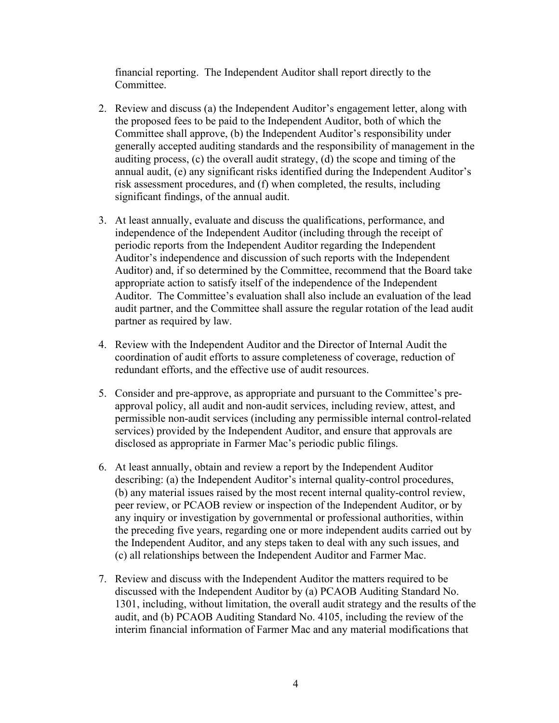financial reporting. The Independent Auditor shall report directly to the Committee.

- 2. Review and discuss (a) the Independent Auditor's engagement letter, along with the proposed fees to be paid to the Independent Auditor, both of which the Committee shall approve, (b) the Independent Auditor's responsibility under generally accepted auditing standards and the responsibility of management in the auditing process, (c) the overall audit strategy, (d) the scope and timing of the annual audit, (e) any significant risks identified during the Independent Auditor's risk assessment procedures, and (f) when completed, the results, including significant findings, of the annual audit.
- 3. At least annually, evaluate and discuss the qualifications, performance, and independence of the Independent Auditor (including through the receipt of periodic reports from the Independent Auditor regarding the Independent Auditor's independence and discussion of such reports with the Independent Auditor) and, if so determined by the Committee, recommend that the Board take appropriate action to satisfy itself of the independence of the Independent Auditor. The Committee's evaluation shall also include an evaluation of the lead audit partner, and the Committee shall assure the regular rotation of the lead audit partner as required by law.
- 4. Review with the Independent Auditor and the Director of Internal Audit the coordination of audit efforts to assure completeness of coverage, reduction of redundant efforts, and the effective use of audit resources.
- 5. Consider and pre-approve, as appropriate and pursuant to the Committee's preapproval policy, all audit and non-audit services, including review, attest, and permissible non-audit services (including any permissible internal control-related services) provided by the Independent Auditor, and ensure that approvals are disclosed as appropriate in Farmer Mac's periodic public filings.
- 6. At least annually, obtain and review a report by the Independent Auditor describing: (a) the Independent Auditor's internal quality-control procedures, (b) any material issues raised by the most recent internal quality-control review, peer review, or PCAOB review or inspection of the Independent Auditor, or by any inquiry or investigation by governmental or professional authorities, within the preceding five years, regarding one or more independent audits carried out by the Independent Auditor, and any steps taken to deal with any such issues, and (c) all relationships between the Independent Auditor and Farmer Mac.
- 7. Review and discuss with the Independent Auditor the matters required to be discussed with the Independent Auditor by (a) PCAOB Auditing Standard No. 1301, including, without limitation, the overall audit strategy and the results of the audit, and (b) PCAOB Auditing Standard No. 4105, including the review of the interim financial information of Farmer Mac and any material modifications that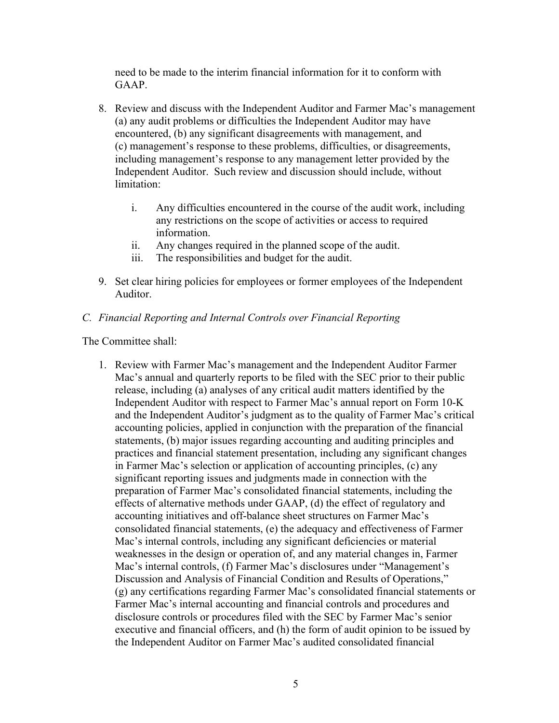need to be made to the interim financial information for it to conform with GAAP.

- 8. Review and discuss with the Independent Auditor and Farmer Mac's management (a) any audit problems or difficulties the Independent Auditor may have encountered, (b) any significant disagreements with management, and (c) management's response to these problems, difficulties, or disagreements, including management's response to any management letter provided by the Independent Auditor. Such review and discussion should include, without limitation:
	- i. Any difficulties encountered in the course of the audit work, including any restrictions on the scope of activities or access to required information.
	- ii. Any changes required in the planned scope of the audit.
	- iii. The responsibilities and budget for the audit.
- 9. Set clear hiring policies for employees or former employees of the Independent Auditor.

### *C. Financial Reporting and Internal Controls over Financial Reporting*

The Committee shall:

1. Review with Farmer Mac's management and the Independent Auditor Farmer Mac's annual and quarterly reports to be filed with the SEC prior to their public release, including (a) analyses of any critical audit matters identified by the Independent Auditor with respect to Farmer Mac's annual report on Form 10-K and the Independent Auditor's judgment as to the quality of Farmer Mac's critical accounting policies, applied in conjunction with the preparation of the financial statements, (b) major issues regarding accounting and auditing principles and practices and financial statement presentation, including any significant changes in Farmer Mac's selection or application of accounting principles, (c) any significant reporting issues and judgments made in connection with the preparation of Farmer Mac's consolidated financial statements, including the effects of alternative methods under GAAP, (d) the effect of regulatory and accounting initiatives and off-balance sheet structures on Farmer Mac's consolidated financial statements, (e) the adequacy and effectiveness of Farmer Mac's internal controls, including any significant deficiencies or material weaknesses in the design or operation of, and any material changes in, Farmer Mac's internal controls, (f) Farmer Mac's disclosures under "Management's Discussion and Analysis of Financial Condition and Results of Operations," (g) any certifications regarding Farmer Mac's consolidated financial statements or Farmer Mac's internal accounting and financial controls and procedures and disclosure controls or procedures filed with the SEC by Farmer Mac's senior executive and financial officers, and (h) the form of audit opinion to be issued by the Independent Auditor on Farmer Mac's audited consolidated financial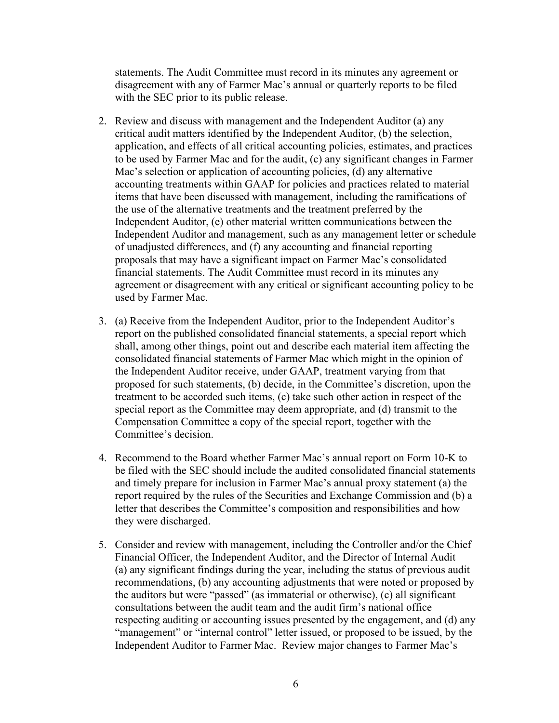statements. The Audit Committee must record in its minutes any agreement or disagreement with any of Farmer Mac's annual or quarterly reports to be filed with the SEC prior to its public release.

- 2. Review and discuss with management and the Independent Auditor (a) any critical audit matters identified by the Independent Auditor, (b) the selection, application, and effects of all critical accounting policies, estimates, and practices to be used by Farmer Mac and for the audit, (c) any significant changes in Farmer Mac's selection or application of accounting policies, (d) any alternative accounting treatments within GAAP for policies and practices related to material items that have been discussed with management, including the ramifications of the use of the alternative treatments and the treatment preferred by the Independent Auditor, (e) other material written communications between the Independent Auditor and management, such as any management letter or schedule of unadjusted differences, and (f) any accounting and financial reporting proposals that may have a significant impact on Farmer Mac's consolidated financial statements. The Audit Committee must record in its minutes any agreement or disagreement with any critical or significant accounting policy to be used by Farmer Mac.
- 3. (a) Receive from the Independent Auditor, prior to the Independent Auditor's report on the published consolidated financial statements, a special report which shall, among other things, point out and describe each material item affecting the consolidated financial statements of Farmer Mac which might in the opinion of the Independent Auditor receive, under GAAP, treatment varying from that proposed for such statements, (b) decide, in the Committee's discretion, upon the treatment to be accorded such items, (c) take such other action in respect of the special report as the Committee may deem appropriate, and (d) transmit to the Compensation Committee a copy of the special report, together with the Committee's decision.
- 4. Recommend to the Board whether Farmer Mac's annual report on Form 10-K to be filed with the SEC should include the audited consolidated financial statements and timely prepare for inclusion in Farmer Mac's annual proxy statement (a) the report required by the rules of the Securities and Exchange Commission and (b) a letter that describes the Committee's composition and responsibilities and how they were discharged.
- 5. Consider and review with management, including the Controller and/or the Chief Financial Officer, the Independent Auditor, and the Director of Internal Audit (a) any significant findings during the year, including the status of previous audit recommendations, (b) any accounting adjustments that were noted or proposed by the auditors but were "passed" (as immaterial or otherwise), (c) all significant consultations between the audit team and the audit firm's national office respecting auditing or accounting issues presented by the engagement, and (d) any "management" or "internal control" letter issued, or proposed to be issued, by the Independent Auditor to Farmer Mac. Review major changes to Farmer Mac's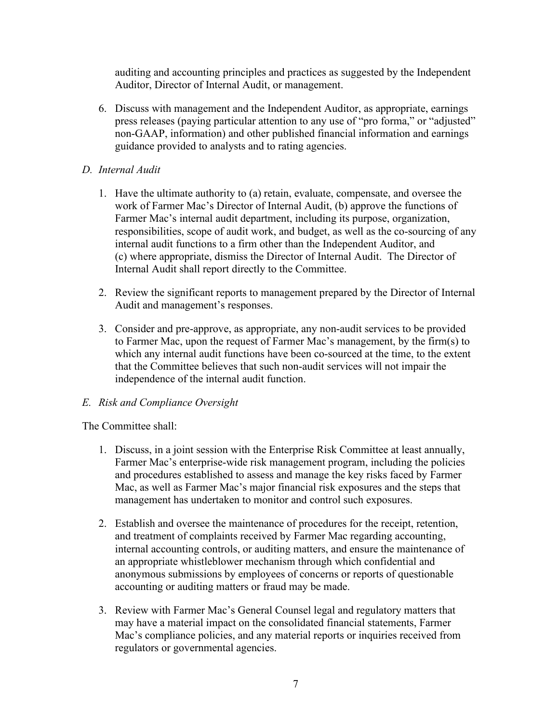auditing and accounting principles and practices as suggested by the Independent Auditor, Director of Internal Audit, or management.

6. Discuss with management and the Independent Auditor, as appropriate, earnings press releases (paying particular attention to any use of "pro forma," or "adjusted" non-GAAP, information) and other published financial information and earnings guidance provided to analysts and to rating agencies.

### *D. Internal Audit*

- 1. Have the ultimate authority to (a) retain, evaluate, compensate, and oversee the work of Farmer Mac's Director of Internal Audit, (b) approve the functions of Farmer Mac's internal audit department, including its purpose, organization, responsibilities, scope of audit work, and budget, as well as the co-sourcing of any internal audit functions to a firm other than the Independent Auditor, and (c) where appropriate, dismiss the Director of Internal Audit. The Director of Internal Audit shall report directly to the Committee.
- 2. Review the significant reports to management prepared by the Director of Internal Audit and management's responses.
- 3. Consider and pre-approve, as appropriate, any non-audit services to be provided to Farmer Mac, upon the request of Farmer Mac's management, by the firm(s) to which any internal audit functions have been co-sourced at the time, to the extent that the Committee believes that such non-audit services will not impair the independence of the internal audit function.

# *E. Risk and Compliance Oversight*

The Committee shall:

- 1. Discuss, in a joint session with the Enterprise Risk Committee at least annually, Farmer Mac's enterprise-wide risk management program, including the policies and procedures established to assess and manage the key risks faced by Farmer Mac, as well as Farmer Mac's major financial risk exposures and the steps that management has undertaken to monitor and control such exposures.
- 2. Establish and oversee the maintenance of procedures for the receipt, retention, and treatment of complaints received by Farmer Mac regarding accounting, internal accounting controls, or auditing matters, and ensure the maintenance of an appropriate whistleblower mechanism through which confidential and anonymous submissions by employees of concerns or reports of questionable accounting or auditing matters or fraud may be made.
- 3. Review with Farmer Mac's General Counsel legal and regulatory matters that may have a material impact on the consolidated financial statements, Farmer Mac's compliance policies, and any material reports or inquiries received from regulators or governmental agencies.